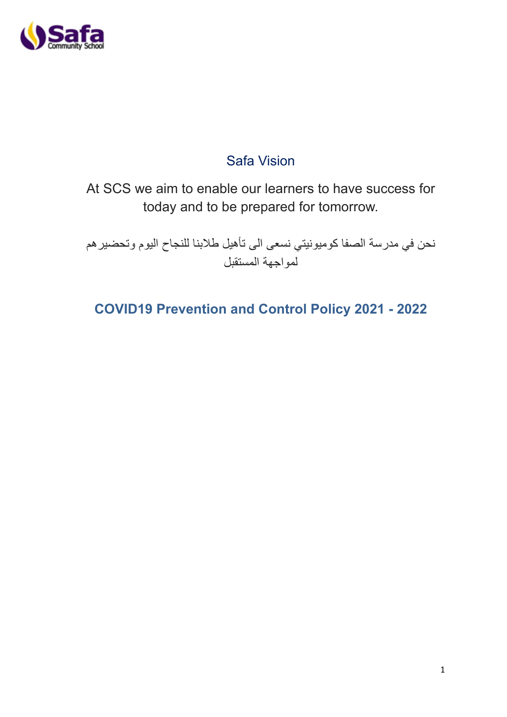

# Safa Vision

At SCS we aim to enable our learners to have success for today and to be prepared for tomorrow.

نحن في مدرسة الصفا كوميونيتي نسعى الى تأهيل طالبنا للنجاح اليوم وتحضيرهم لمواجهة المستقبل

**COVID19 Prevention and Control Policy 2021 - 2022**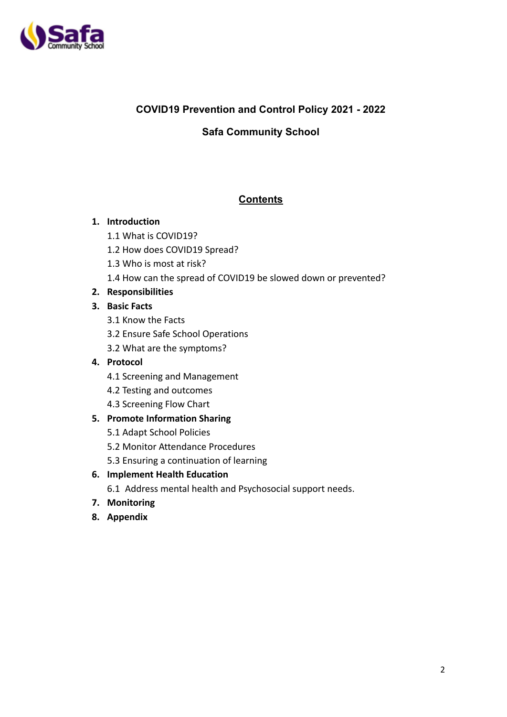

# **COVID19 Prevention and Control Policy 2021 - 2022**

# **Safa Community School**

# **Contents**

# **1. Introduction**

- 1.1 What is COVID19?
- 1.2 How does COVID19 Spread?
- 1.3 Who is most at risk?
- 1.4 How can the spread of COVID19 be slowed down or prevented?

# **2. Responsibilities**

# **3. Basic Facts**

- 3.1 Know the Facts
- 3.2 Ensure Safe School Operations
- 3.2 What are the symptoms?

# **4. Protocol**

- 4.1 Screening and Management
- 4.2 Testing and outcomes
- 4.3 Screening Flow Chart

# **5. Promote Information Sharing**

- 5.1 Adapt School Policies
- 5.2 Monitor Attendance Procedures
- 5.3 Ensuring a continuation of learning
- **6. Implement Health Education**
	- 6.1 Address mental health and Psychosocial support needs.
- **7. Monitoring**
- **8. Appendix**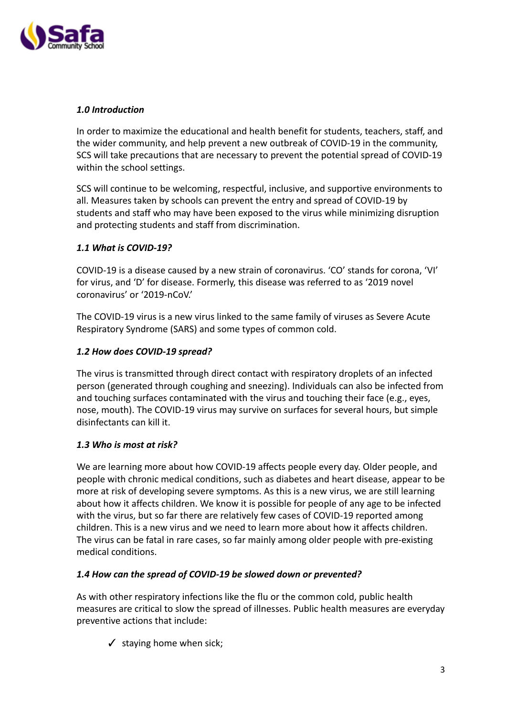

## *1.0 Introduction*

In order to maximize the educational and health benefit for students, teachers, staff, and the wider community, and help prevent a new outbreak of COVID-19 in the community, SCS will take precautions that are necessary to prevent the potential spread of COVID-19 within the school settings.

SCS will continue to be welcoming, respectful, inclusive, and supportive environments to all. Measures taken by schools can prevent the entry and spread of COVID-19 by students and staff who may have been exposed to the virus while minimizing disruption and protecting students and staff from discrimination.

## *1.1 What is COVID-19?*

COVID-19 is a disease caused by a new strain of coronavirus. 'CO' stands for corona, 'VI' for virus, and 'D' for disease. Formerly, this disease was referred to as '2019 novel coronavirus' or '2019-nCoV.'

The COVID-19 virus is a new virus linked to the same family of viruses as Severe Acute Respiratory Syndrome (SARS) and some types of common cold.

### *1.2 How does COVID-19 spread?*

The virus is transmitted through direct contact with respiratory droplets of an infected person (generated through coughing and sneezing). Individuals can also be infected from and touching surfaces contaminated with the virus and touching their face (e.g., eyes, nose, mouth). The COVID-19 virus may survive on surfaces for several hours, but simple disinfectants can kill it.

### *1.3 Who is most at risk?*

We are learning more about how COVID-19 affects people every day. Older people, and people with chronic medical conditions, such as diabetes and heart disease, appear to be more at risk of developing severe symptoms. As this is a new virus, we are still learning about how it affects children. We know it is possible for people of any age to be infected with the virus, but so far there are relatively few cases of COVID-19 reported among children. This is a new virus and we need to learn more about how it affects children. The virus can be fatal in rare cases, so far mainly among older people with pre-existing medical conditions.

### *1.4 How can the spread of COVID-19 be slowed down or prevented?*

As with other respiratory infections like the flu or the common cold, public health measures are critical to slow the spread of illnesses. Public health measures are everyday preventive actions that include:

 $\checkmark$  staying home when sick;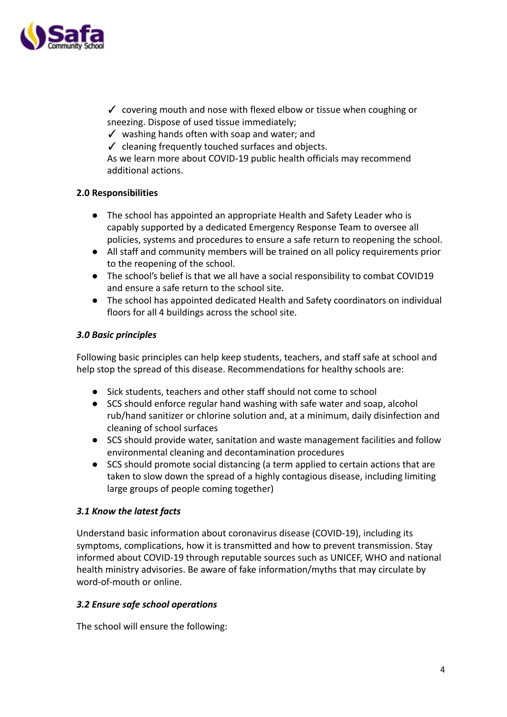

✓ covering mouth and nose with flexed elbow or tissue when coughing or sneezing. Dispose of used tissue immediately;

- $\checkmark$  washing hands often with soap and water; and
- $\checkmark$  cleaning frequently touched surfaces and objects.

As we learn more about COVID-19 public health officials may recommend additional actions.

## **2.0 Responsibilities**

- The school has appointed an appropriate Health and Safety Leader who is capably supported by a dedicated Emergency Response Team to oversee all policies, systems and procedures to ensure a safe return to reopening the school.
- All staff and community members will be trained on all policy requirements prior to the reopening of the school.
- The school's belief is that we all have a social responsibility to combat COVID19 and ensure a safe return to the school site.
- The school has appointed dedicated Health and Safety coordinators on individual floors for all 4 buildings across the school site.

## *3.0 Basic principles*

Following basic principles can help keep students, teachers, and staff safe at school and help stop the spread of this disease. Recommendations for healthy schools are:

- Sick students, teachers and other staff should not come to school
- SCS should enforce regular hand washing with safe water and soap, alcohol rub/hand sanitizer or chlorine solution and, at a minimum, daily disinfection and cleaning of school surfaces
- SCS should provide water, sanitation and waste management facilities and follow environmental cleaning and decontamination procedures
- SCS should promote social distancing (a term applied to certain actions that are taken to slow down the spread of a highly contagious disease, including limiting large groups of people coming together)

### *3.1 Know the latest facts*

Understand basic information about coronavirus disease (COVID-19), including its symptoms, complications, how it is transmitted and how to prevent transmission. Stay informed about COVID-19 through reputable sources such as UNICEF, WHO and national health ministry advisories. Be aware of fake information/myths that may circulate by word-of-mouth or online.

### *3.2 Ensure safe school operations*

The school will ensure the following: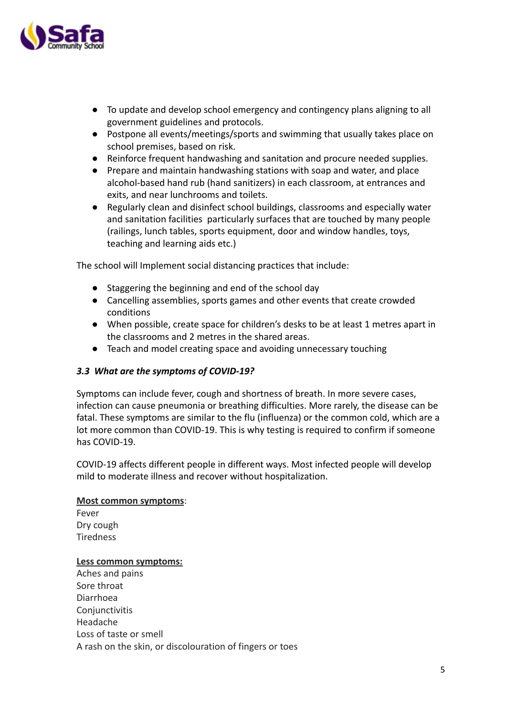

- To update and develop school emergency and contingency plans aligning to all government guidelines and protocols.
- Postpone all events/meetings/sports and swimming that usually takes place on school premises, based on risk.
- Reinforce frequent handwashing and sanitation and procure needed supplies.
- Prepare and maintain handwashing stations with soap and water, and place alcohol-based hand rub (hand sanitizers) in each classroom, at entrances and exits, and near lunchrooms and toilets.
- Regularly clean and disinfect school buildings, classrooms and especially water and sanitation facilities particularly surfaces that are touched by many people (railings, lunch tables, sports equipment, door and window handles, toys, teaching and learning aids etc.)

The school will Implement social distancing practices that include:

- Staggering the beginning and end of the school day
- Cancelling assemblies, sports games and other events that create crowded conditions
- When possible, create space for children's desks to be at least 1 metres apart in the classrooms and 2 metres in the shared areas.
- Teach and model creating space and avoiding unnecessary touching

# *3.3 What are the symptoms of COVID-19?*

Symptoms can include fever, cough and shortness of breath. In more severe cases, infection can cause pneumonia or breathing difficulties. More rarely, the disease can be fatal. These symptoms are similar to the flu (influenza) or the common cold, which are a lot more common than COVID-19. This is why testing is required to confirm if someone has COVID-19.

COVID-19 affects different people in different ways. Most infected people will develop mild to moderate illness and recover without hospitalization.

### **Most common symptoms**:

Fever Dry cough Tiredness

### **Less common symptoms:**

Aches and pains Sore throat Diarrhoea Conjunctivitis Headache Loss of taste or smell A rash on the skin, or discolouration of fingers or toes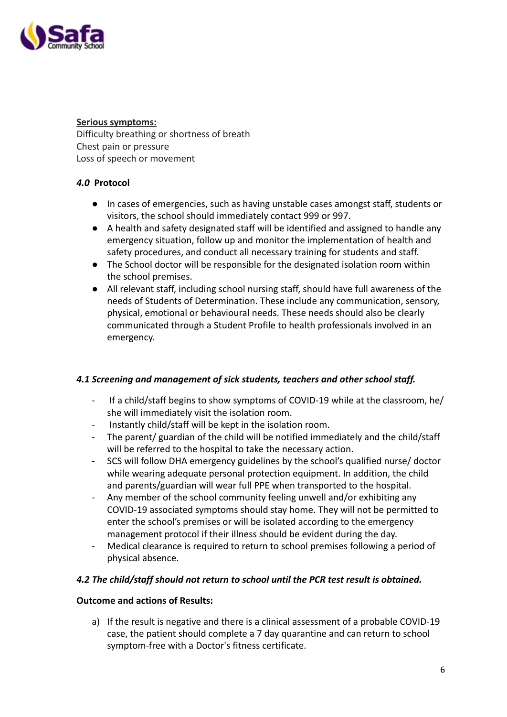

## **Serious symptoms:**

Difficulty breathing or shortness of breath Chest pain or pressure Loss of speech or movement

# *4.0* **Protocol**

- In cases of emergencies, such as having unstable cases amongst staff, students or visitors, the school should immediately contact 999 or 997.
- A health and safety designated staff will be identified and assigned to handle any emergency situation, follow up and monitor the implementation of health and safety procedures, and conduct all necessary training for students and staff.
- The School doctor will be responsible for the designated isolation room within the school premises.
- All relevant staff, including school nursing staff, should have full awareness of the needs of Students of Determination. These include any communication, sensory, physical, emotional or behavioural needs. These needs should also be clearly communicated through a Student Profile to health professionals involved in an emergency.

# *4.1 Screening and management of sick students, teachers and other school staff.*

- If a child/staff begins to show symptoms of COVID-19 while at the classroom, he/ she will immediately visit the isolation room.
- Instantly child/staff will be kept in the isolation room.
- The parent/ guardian of the child will be notified immediately and the child/staff will be referred to the hospital to take the necessary action.
- SCS will follow DHA emergency guidelines by the school's qualified nurse/ doctor while wearing adequate personal protection equipment. In addition, the child and parents/guardian will wear full PPE when transported to the hospital.
- Any member of the school community feeling unwell and/or exhibiting any COVID-19 associated symptoms should stay home. They will not be permitted to enter the school's premises or will be isolated according to the emergency management protocol if their illness should be evident during the day.
- Medical clearance is required to return to school premises following a period of physical absence.

# *4.2 The child/staff should not return to school until the PCR test result is obtained.*

# **Outcome and actions of Results:**

a) If the result is negative and there is a clinical assessment of a probable COVID-19 case, the patient should complete a 7 day quarantine and can return to school symptom-free with a Doctor's fitness certificate.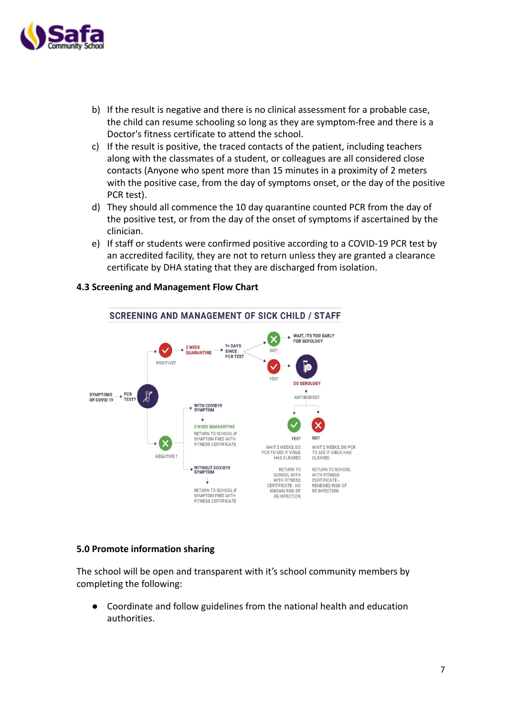

- b) If the result is negative and there is no clinical assessment for a probable case, the child can resume schooling so long as they are symptom-free and there is a Doctor's fitness certificate to attend the school.
- c) If the result is positive, the traced contacts of the patient, including teachers along with the classmates of a student, or colleagues are all considered close contacts (Anyone who spent more than 15 minutes in a proximity of 2 meters with the positive case, from the day of symptoms onset, or the day of the positive PCR test).
- d) They should all commence the 10 day quarantine counted PCR from the day of the positive test, or from the day of the onset of symptoms if ascertained by the clinician.
- e) If staff or students were confirmed positive according to a COVID-19 PCR test by an accredited facility, they are not to return unless they are granted a clearance certificate by DHA stating that they are discharged from isolation.



#### **4.3 Screening and Management Flow Chart**

#### **5.0 Promote information sharing**

The school will be open and transparent with it's school community members by completing the following:

● Coordinate and follow guidelines from the national health and education authorities.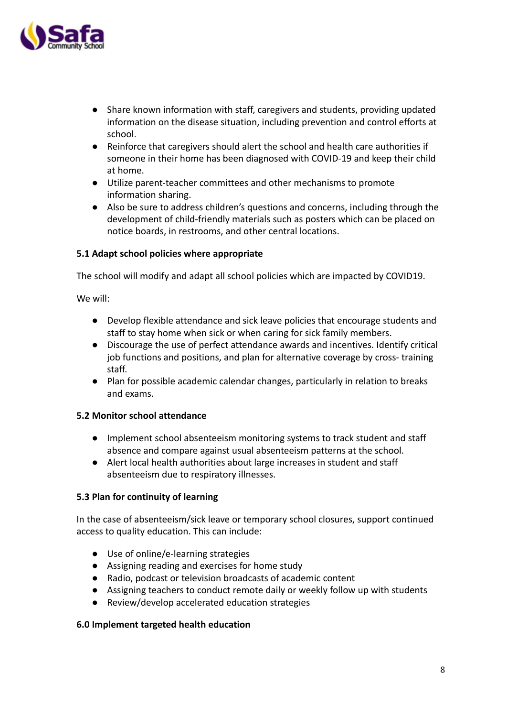

- Share known information with staff, caregivers and students, providing updated information on the disease situation, including prevention and control efforts at school.
- Reinforce that caregivers should alert the school and health care authorities if someone in their home has been diagnosed with COVID-19 and keep their child at home.
- Utilize parent-teacher committees and other mechanisms to promote information sharing.
- Also be sure to address children's questions and concerns, including through the development of child-friendly materials such as posters which can be placed on notice boards, in restrooms, and other central locations.

## **5.1 Adapt school policies where appropriate**

The school will modify and adapt all school policies which are impacted by COVID19.

We will:

- Develop flexible attendance and sick leave policies that encourage students and staff to stay home when sick or when caring for sick family members.
- Discourage the use of perfect attendance awards and incentives. Identify critical job functions and positions, and plan for alternative coverage by cross- training staff.
- Plan for possible academic calendar changes, particularly in relation to breaks and exams.

### **5.2 Monitor school attendance**

- Implement school absenteeism monitoring systems to track student and staff absence and compare against usual absenteeism patterns at the school.
- Alert local health authorities about large increases in student and staff absenteeism due to respiratory illnesses.

# **5.3 Plan for continuity of learning**

In the case of absenteeism/sick leave or temporary school closures, support continued access to quality education. This can include:

- Use of online/e-learning strategies
- Assigning reading and exercises for home study
- Radio, podcast or television broadcasts of academic content
- Assigning teachers to conduct remote daily or weekly follow up with students
- Review/develop accelerated education strategies

### **6.0 Implement targeted health education**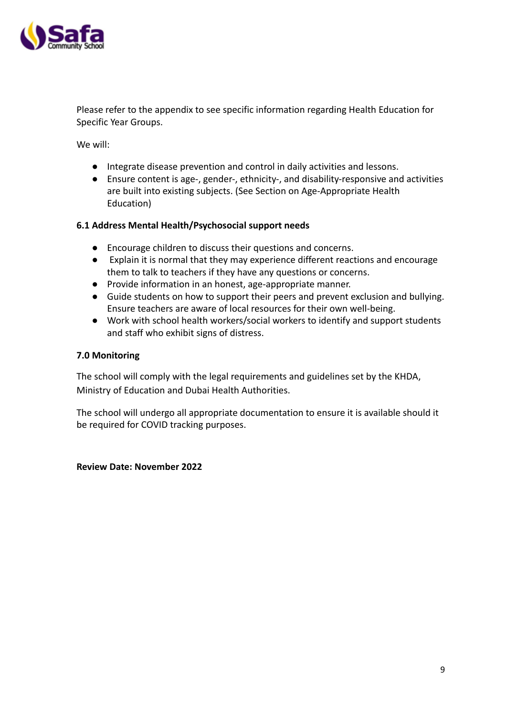

Please refer to the appendix to see specific information regarding Health Education for Specific Year Groups.

We will:

- Integrate disease prevention and control in daily activities and lessons.
- Ensure content is age-, gender-, ethnicity-, and disability-responsive and activities are built into existing subjects. (See Section on Age-Appropriate Health Education)

### **6.1 Address Mental Health/Psychosocial support needs**

- Encourage children to discuss their questions and concerns.
- Explain it is normal that they may experience different reactions and encourage them to talk to teachers if they have any questions or concerns.
- Provide information in an honest, age-appropriate manner.
- Guide students on how to support their peers and prevent exclusion and bullying. Ensure teachers are aware of local resources for their own well-being.
- Work with school health workers/social workers to identify and support students and staff who exhibit signs of distress.

## **7.0 Monitoring**

The school will comply with the legal requirements and guidelines set by the KHDA, Ministry of Education and Dubai Health Authorities.

The school will undergo all appropriate documentation to ensure it is available should it be required for COVID tracking purposes.

#### **Review Date: November 2022**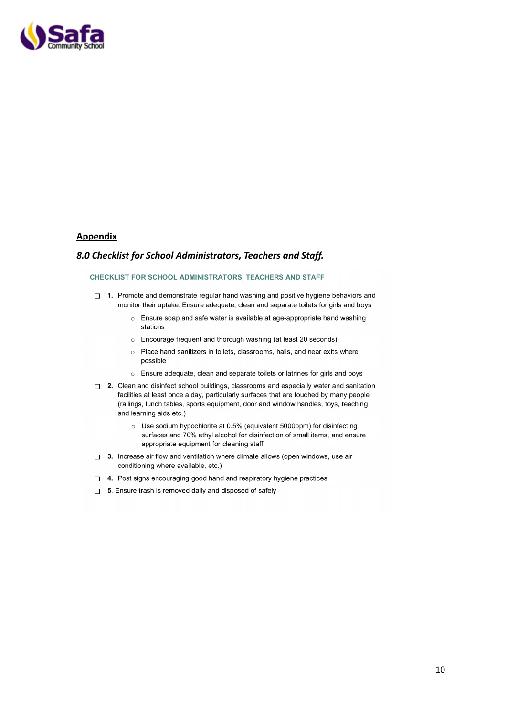

#### **Appendix**

#### *8.0 Checklist for School Administrators, Teachers and Staff.*

#### CHECKLIST FOR SCHOOL ADMINISTRATORS, TEACHERS AND STAFF

- □ 1. Promote and demonstrate regular hand washing and positive hygiene behaviors and monitor their uptake. Ensure adequate, clean and separate toilets for girls and boys
	- o Ensure soap and safe water is available at age-appropriate hand washing stations
	- Encourage frequent and thorough washing (at least 20 seconds)
	- Place hand sanitizers in toilets, classrooms, halls, and near exits where  $\circ$ possible
	- o Ensure adequate, clean and separate toilets or latrines for girls and boys
- $\Box$  2. Clean and disinfect school buildings, classrooms and especially water and sanitation facilities at least once a day, particularly surfaces that are touched by many people (railings, lunch tables, sports equipment, door and window handles, toys, teaching and learning aids etc.)
	- Use sodium hypochlorite at 0.5% (equivalent 5000ppm) for disinfecting surfaces and 70% ethyl alcohol for disinfection of small items, and ensure appropriate equipment for cleaning staff
- $\Box$  3. Increase air flow and ventilation where climate allows (open windows, use air conditioning where available, etc.)
- □ 4. Post signs encouraging good hand and respiratory hygiene practices
- $\Box$  5. Ensure trash is removed daily and disposed of safely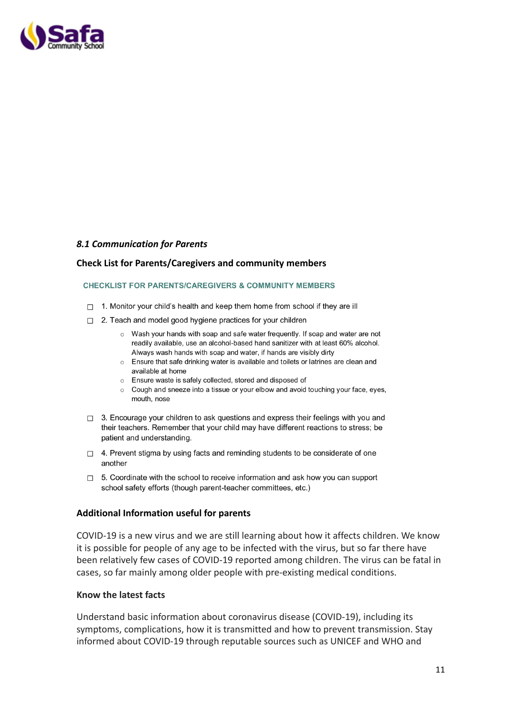

#### *8.1 Communication for Parents*

#### **Check List for Parents/Caregivers and community members**

#### **CHECKLIST FOR PARENTS/CAREGIVERS & COMMUNITY MEMBERS**

- $\Box$  1. Monitor your child's health and keep them home from school if they are ill
- $\Box$  2. Teach and model good hygiene practices for your children
	- $\circ$  Wash your hands with soap and safe water frequently. If soap and water are not readily available, use an alcohol-based hand sanitizer with at least 60% alcohol. Always wash hands with soap and water, if hands are visibly dirty
	- o Ensure that safe drinking water is available and toilets or latrines are clean and available at home
	- Ensure waste is safely collected, stored and disposed of
	- $\circ$  Cough and sneeze into a tissue or your elbow and avoid touching your face, eyes, mouth, nose
- $\Box$  3. Encourage your children to ask questions and express their feelings with you and their teachers. Remember that your child may have different reactions to stress; be patient and understanding.
- $\Box$  4. Prevent stigma by using facts and reminding students to be considerate of one another
- $\Box$  5. Coordinate with the school to receive information and ask how you can support school safety efforts (though parent-teacher committees, etc.)

#### **Additional Information useful for parents**

COVID-19 is a new virus and we are still learning about how it affects children. We know it is possible for people of any age to be infected with the virus, but so far there have been relatively few cases of COVID-19 reported among children. The virus can be fatal in cases, so far mainly among older people with pre-existing medical conditions.

#### **Know the latest facts**

Understand basic information about coronavirus disease (COVID-19), including its symptoms, complications, how it is transmitted and how to prevent transmission. Stay informed about COVID-19 through reputable sources such as UNICEF and WHO and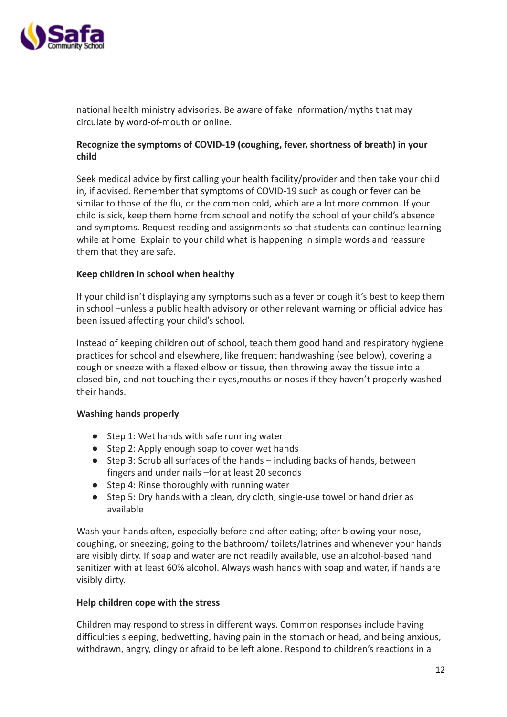

national health ministry advisories. Be aware of fake information/myths that may circulate by word-of-mouth or online.

# **Recognize the symptoms of COVID-19 (coughing, fever, shortness of breath) in your child**

Seek medical advice by first calling your health facility/provider and then take your child in, if advised. Remember that symptoms of COVID-19 such as cough or fever can be similar to those of the flu, or the common cold, which are a lot more common. If your child is sick, keep them home from school and notify the school of your child's absence and symptoms. Request reading and assignments so that students can continue learning while at home. Explain to your child what is happening in simple words and reassure them that they are safe.

## **Keep children in school when healthy**

If your child isn't displaying any symptoms such as a fever or cough it's best to keep them in school –unless a public health advisory or other relevant warning or official advice has been issued affecting your child's school.

Instead of keeping children out of school, teach them good hand and respiratory hygiene practices for school and elsewhere, like frequent handwashing (see below), covering a cough or sneeze with a flexed elbow or tissue, then throwing away the tissue into a closed bin, and not touching their eyes,mouths or noses if they haven't properly washed their hands.

### **Washing hands properly**

- Step 1: Wet hands with safe running water
- Step 2: Apply enough soap to cover wet hands
- Step 3: Scrub all surfaces of the hands including backs of hands, between fingers and under nails –for at least 20 seconds
- Step 4: Rinse thoroughly with running water
- Step 5: Dry hands with a clean, dry cloth, single-use towel or hand drier as available

Wash your hands often, especially before and after eating; after blowing your nose, coughing, or sneezing; going to the bathroom/ toilets/latrines and whenever your hands are visibly dirty. If soap and water are not readily available, use an alcohol-based hand sanitizer with at least 60% alcohol. Always wash hands with soap and water, if hands are visibly dirty.

### **Help children cope with the stress**

Children may respond to stress in different ways. Common responses include having difficulties sleeping, bedwetting, having pain in the stomach or head, and being anxious, withdrawn, angry, clingy or afraid to be left alone. Respond to children's reactions in a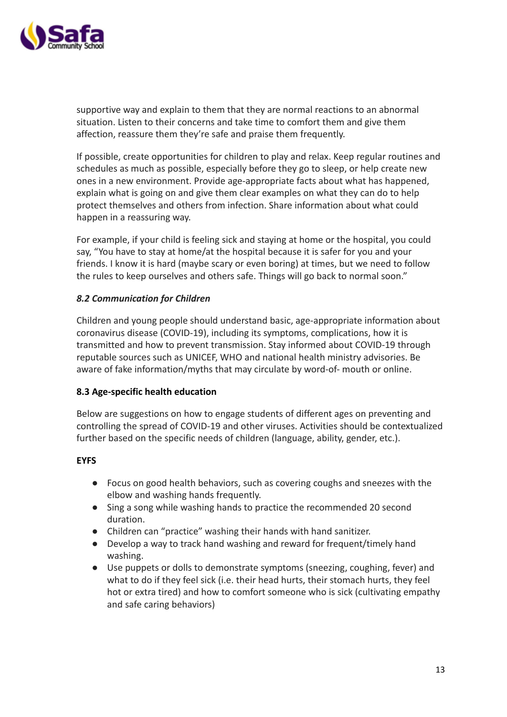

supportive way and explain to them that they are normal reactions to an abnormal situation. Listen to their concerns and take time to comfort them and give them affection, reassure them they're safe and praise them frequently.

If possible, create opportunities for children to play and relax. Keep regular routines and schedules as much as possible, especially before they go to sleep, or help create new ones in a new environment. Provide age-appropriate facts about what has happened, explain what is going on and give them clear examples on what they can do to help protect themselves and others from infection. Share information about what could happen in a reassuring way.

For example, if your child is feeling sick and staying at home or the hospital, you could say, "You have to stay at home/at the hospital because it is safer for you and your friends. I know it is hard (maybe scary or even boring) at times, but we need to follow the rules to keep ourselves and others safe. Things will go back to normal soon."

# *8.2 Communication for Children*

Children and young people should understand basic, age-appropriate information about coronavirus disease (COVID-19), including its symptoms, complications, how it is transmitted and how to prevent transmission. Stay informed about COVID-19 through reputable sources such as UNICEF, WHO and national health ministry advisories. Be aware of fake information/myths that may circulate by word-of- mouth or online.

### **8.3 Age-specific health education**

Below are suggestions on how to engage students of different ages on preventing and controlling the spread of COVID-19 and other viruses. Activities should be contextualized further based on the specific needs of children (language, ability, gender, etc.).

### **EYFS**

- Focus on good health behaviors, such as covering coughs and sneezes with the elbow and washing hands frequently.
- Sing a song while washing hands to practice the recommended 20 second duration.
- Children can "practice" washing their hands with hand sanitizer.
- Develop a way to track hand washing and reward for frequent/timely hand washing.
- Use puppets or dolls to demonstrate symptoms (sneezing, coughing, fever) and what to do if they feel sick (i.e. their head hurts, their stomach hurts, they feel hot or extra tired) and how to comfort someone who is sick (cultivating empathy and safe caring behaviors)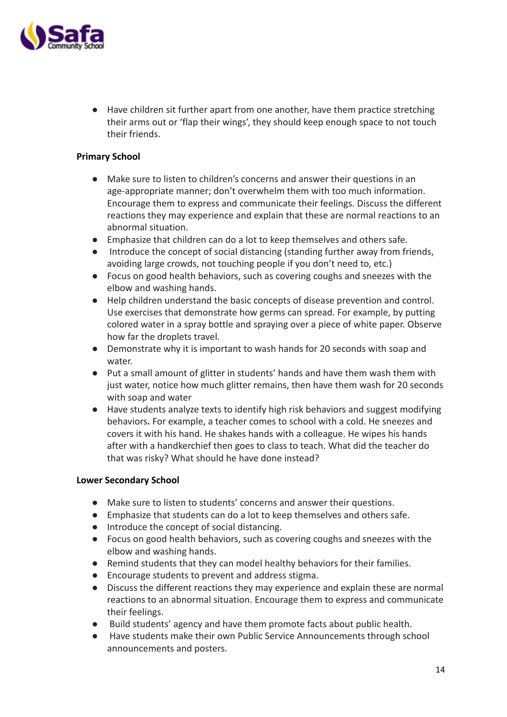

● Have children sit further apart from one another, have them practice stretching their arms out or 'flap their wings', they should keep enough space to not touch their friends.

## **Primary School**

- Make sure to listen to children's concerns and answer their questions in an age-appropriate manner; don't overwhelm them with too much information. Encourage them to express and communicate their feelings. Discuss the different reactions they may experience and explain that these are normal reactions to an abnormal situation.
- Emphasize that children can do a lot to keep themselves and others safe.
- Introduce the concept of social distancing (standing further away from friends, avoiding large crowds, not touching people if you don't need to, etc.)
- Focus on good health behaviors, such as covering coughs and sneezes with the elbow and washing hands.
- Help children understand the basic concepts of disease prevention and control. Use exercises that demonstrate how germs can spread. For example, by putting colored water in a spray bottle and spraying over a piece of white paper. Observe how far the droplets travel.
- Demonstrate why it is important to wash hands for 20 seconds with soap and water.
- Put a small amount of glitter in students' hands and have them wash them with just water, notice how much glitter remains, then have them wash for 20 seconds with soap and water
- Have students analyze texts to identify high risk behaviors and suggest modifying behaviors**.** For example, a teacher comes to school with a cold. He sneezes and covers it with his hand. He shakes hands with a colleague. He wipes his hands after with a handkerchief then goes to class to teach. What did the teacher do that was risky? What should he have done instead?

### **Lower Secondary School**

- Make sure to listen to students' concerns and answer their questions.
- Emphasize that students can do a lot to keep themselves and others safe.
- Introduce the concept of social distancing.
- Focus on good health behaviors, such as covering coughs and sneezes with the elbow and washing hands.
- Remind students that they can model healthy behaviors for their families.
- Encourage students to prevent and address stigma.
- Discuss the different reactions they may experience and explain these are normal reactions to an abnormal situation. Encourage them to express and communicate their feelings.
- Build students' agency and have them promote facts about public health.
- Have students make their own Public Service Announcements through school announcements and posters.